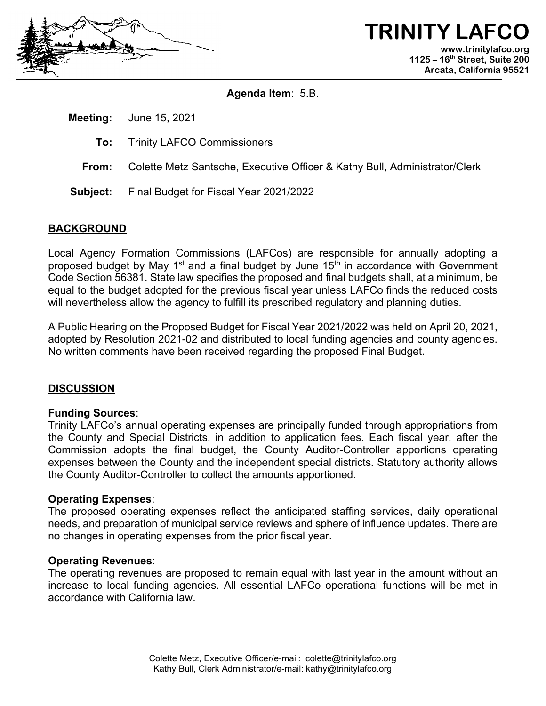

**TRINITY LAFCO www.trinitylafco.org 1125 – 16th Street, Suite 200 Arcata, California 95521**

**Agenda Item**: 5.B.

**Meeting:** June 15, 2021

- **To:** Trinity LAFCO Commissioners
- **From:** Colette Metz Santsche, Executive Officer & Kathy Bull, Administrator/Clerk
- **Subject:** Final Budget for Fiscal Year 2021/2022

# **BACKGROUND**

Local Agency Formation Commissions (LAFCos) are responsible for annually adopting a proposed budget by May 1<sup>st</sup> and a final budget by June 15<sup>th</sup> in accordance with Government Code Section 56381. State law specifies the proposed and final budgets shall, at a minimum, be equal to the budget adopted for the previous fiscal year unless LAFCo finds the reduced costs will nevertheless allow the agency to fulfill its prescribed regulatory and planning duties.

A Public Hearing on the Proposed Budget for Fiscal Year 2021/2022 was held on April 20, 2021, adopted by Resolution 2021-02 and distributed to local funding agencies and county agencies. No written comments have been received regarding the proposed Final Budget.

# **DISCUSSION**

### **Funding Sources**:

Trinity LAFCo's annual operating expenses are principally funded through appropriations from the County and Special Districts, in addition to application fees. Each fiscal year, after the Commission adopts the final budget, the County Auditor-Controller apportions operating expenses between the County and the independent special districts. Statutory authority allows the County Auditor-Controller to collect the amounts apportioned.

### **Operating Expenses**:

The proposed operating expenses reflect the anticipated staffing services, daily operational needs, and preparation of municipal service reviews and sphere of influence updates. There are no changes in operating expenses from the prior fiscal year.

### **Operating Revenues**:

The operating revenues are proposed to remain equal with last year in the amount without an increase to local funding agencies. All essential LAFCo operational functions will be met in accordance with California law.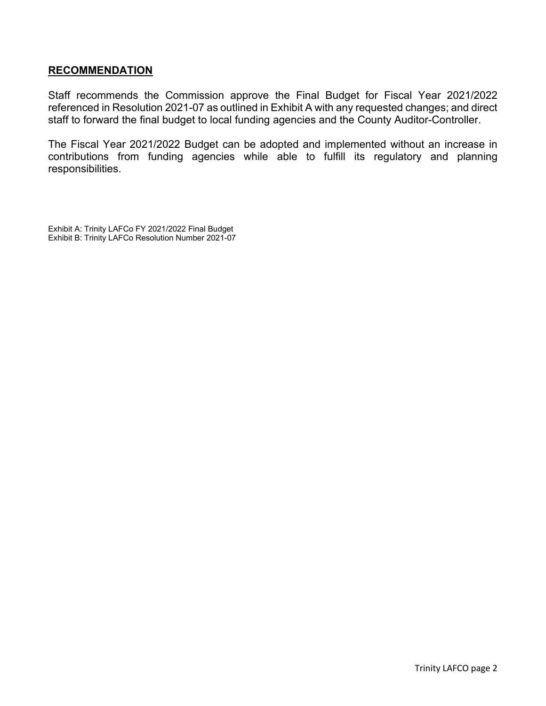### **RECOMMENDATION**

Staff recommends the Commission approve the Final Budget for Fiscal Year 2021/2022 referenced in Resolution 2021-07 as outlined in Exhibit A with any requested changes; and direct staff to forward the final budget to local funding agencies and the County Auditor-Controller.

The Fiscal Year 2021/2022 Budget can be adopted and implemented without an increase in contributions from funding agencies while able to fulfill its regulatory and planning responsibilities.

Exhibit A: Trinity LAFCo FY 2021/2022 Final Budget Exhibit B: Trinity LAFCo Resolution Number 2021-07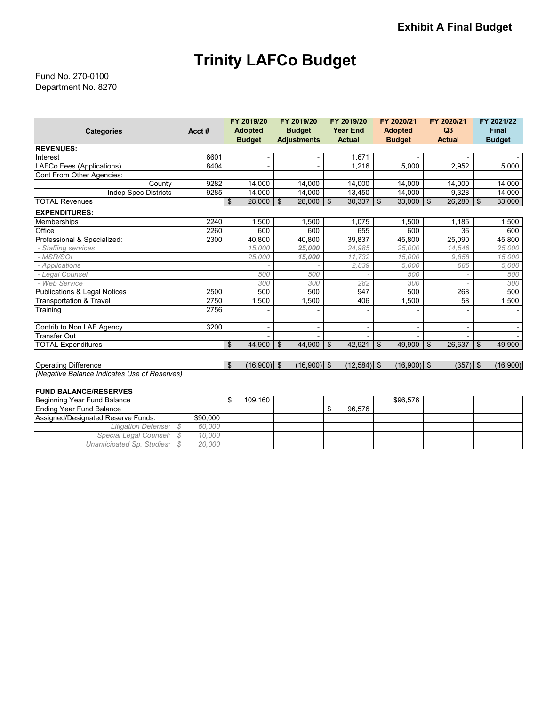# **Trinity LAFCo Budget**

Department No. 8270 Fund No. 270-0100

|                                              |       | FY 2019/20          | FY 2019/20         | FY 2019/20      | FY 2020/21     | FY 2020/21          | FY 2021/22           |
|----------------------------------------------|-------|---------------------|--------------------|-----------------|----------------|---------------------|----------------------|
| <b>Categories</b>                            | Acct# | <b>Adopted</b>      | <b>Budget</b>      | <b>Year End</b> | <b>Adopted</b> | Q3                  | <b>Final</b>         |
|                                              |       | <b>Budget</b>       | <b>Adjustments</b> | <b>Actual</b>   | <b>Budget</b>  | <b>Actual</b>       | <b>Budget</b>        |
| <b>REVENUES:</b>                             |       |                     |                    |                 |                |                     |                      |
| Interest                                     | 6601  |                     |                    | 1.671           |                |                     |                      |
| <b>LAFCo Fees (Applications)</b>             | 8404  |                     |                    | 1,216           | 5,000          | 2,952               | 5,000                |
| Cont From Other Agencies:                    |       |                     |                    |                 |                |                     |                      |
| County                                       | 9282  | 14,000              | 14,000             | 14,000          | 14,000         | 14,000              | 14,000               |
| <b>Indep Spec Districts</b>                  | 9285  | 14.000              | 14,000             | 13,450          | 14,000         | 9,328               | 14,000               |
| <b>TOTAL Revenues</b>                        |       | \$<br>28,000        | \$<br>28,000       | \$<br>30,337    | 33,000<br>\$   | $26,280$   \$<br>\$ | 33,000               |
| <b>EXPENDITURES:</b>                         |       |                     |                    |                 |                |                     |                      |
| Memberships                                  | 2240  | 1,500               | 1,500              | 1,075           | 1,500          | 1,185               | 1,500                |
| Office                                       | 2260  | 600                 | 600                | 655             | 600            | 36                  | 600                  |
| Professional & Specialized:                  | 2300  | 40,800              | 40,800             | 39,837          | 45,800         | 25,090              | 45,800               |
| - Staffing services                          |       | 15,000              | 25,000             | 24.985          | 25,000         | 14.546              | 25,000               |
| - MSR/SOI                                    |       | 25,000              | 15,000             | 11,732          | 15,000         | 9,858               | 15,000               |
| - Applications                               |       |                     |                    | 2,839           | 5,000          | 686                 | 5,000                |
| - Legal Counsel                              |       | 500                 | 500                |                 | 500            |                     | 500                  |
| - Web Service                                |       | 300                 | 300                | 282             | 300            |                     | 300                  |
| Publications & Legal Notices                 | 2500  | 500                 | 500                | 947             | 500            | 268                 | 500                  |
| <b>Transportation &amp; Travel</b>           | 2750  | 1,500               | 1,500              | 406             | 1,500          | 58                  | 1,500                |
| Training                                     | 2756  |                     |                    |                 |                |                     |                      |
| Contrib to Non LAF Agency                    | 3200  |                     |                    |                 |                |                     |                      |
| <b>Transfer Out</b>                          |       |                     |                    |                 |                |                     |                      |
|                                              |       | \$                  | \$                 | \$              | $\mathfrak{S}$ | \$                  |                      |
| <b>TOTAL Expenditures</b>                    |       | 44,900              | 44,900             | 42,921          | 49,900         | 26,637              | $\vert$ \$<br>49,900 |
|                                              |       |                     |                    |                 |                |                     |                      |
| <b>Operating Difference</b>                  |       | $(16,900)$ \$<br>\$ | $(16,900)$ \$      | $(12,584)$ \$   | $(16,900)$ \$  | $(357)$ \$          | (16,900)             |
| (Negative Balance Indicates Use of Reserves) |       |                     |                    |                 |                |                     |                      |

#### **FUND BALANCE/RESERVES**

| Beginning Year Fund Balance        |          | 109.160 |  |        | \$96.576 |  |
|------------------------------------|----------|---------|--|--------|----------|--|
| Ending Year Fund Balance           |          |         |  | 96.576 |          |  |
| Assigned/Designated Reserve Funds: | \$90,000 |         |  |        |          |  |
| Litigation Defense:                | 60,000   |         |  |        |          |  |
| Special Legal Counsel: \ \$        | 10.000   |         |  |        |          |  |
| Unanticipated Sp. Studies:         | 20,000   |         |  |        |          |  |